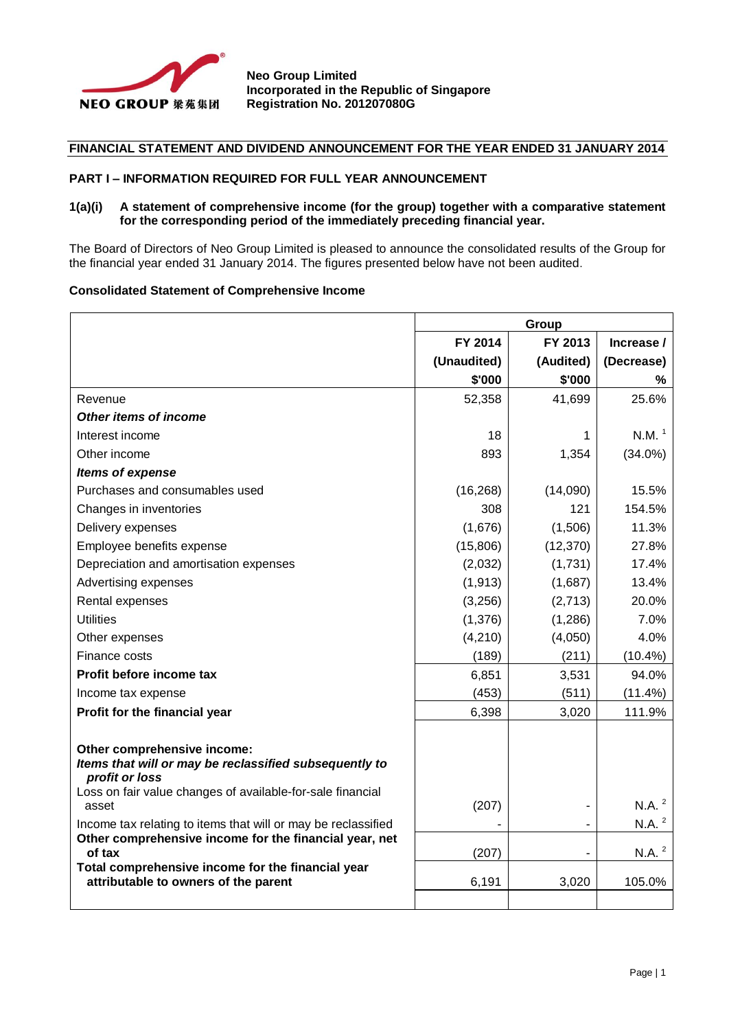

## **FINANCIAL STATEMENT AND DIVIDEND ANNOUNCEMENT FOR THE YEAR ENDED 31 JANUARY 2014**

#### **PART I – INFORMATION REQUIRED FOR FULL YEAR ANNOUNCEMENT**

#### **1(a)(i) A statement of comprehensive income (for the group) together with a comparative statement for the corresponding period of the immediately preceding financial year.**

The Board of Directors of Neo Group Limited is pleased to announce the consolidated results of the Group for the financial year ended 31 January 2014. The figures presented below have not been audited.

#### **Consolidated Statement of Comprehensive Income**

|                                                                                                                         | Group       |           |                   |
|-------------------------------------------------------------------------------------------------------------------------|-------------|-----------|-------------------|
|                                                                                                                         | FY 2014     | FY 2013   | Increase /        |
|                                                                                                                         | (Unaudited) | (Audited) | (Decrease)        |
|                                                                                                                         | \$'000      | \$'000    | ℅                 |
| Revenue                                                                                                                 | 52,358      | 41,699    | 25.6%             |
| Other items of income                                                                                                   |             |           |                   |
| Interest income                                                                                                         | 18          | 1         | N.M. <sup>1</sup> |
| Other income                                                                                                            | 893         | 1,354     | $(34.0\%)$        |
| Items of expense                                                                                                        |             |           |                   |
| Purchases and consumables used                                                                                          | (16, 268)   | (14,090)  | 15.5%             |
| Changes in inventories                                                                                                  | 308         | 121       | 154.5%            |
| Delivery expenses                                                                                                       | (1,676)     | (1,506)   | 11.3%             |
| Employee benefits expense                                                                                               | (15,806)    | (12, 370) | 27.8%             |
| Depreciation and amortisation expenses                                                                                  | (2,032)     | (1,731)   | 17.4%             |
| Advertising expenses                                                                                                    | (1, 913)    | (1,687)   | 13.4%             |
| Rental expenses                                                                                                         | (3,256)     | (2,713)   | 20.0%             |
| <b>Utilities</b>                                                                                                        | (1,376)     | (1,286)   | 7.0%              |
| Other expenses                                                                                                          | (4,210)     | (4,050)   | 4.0%              |
| Finance costs                                                                                                           | (189)       | (211)     | $(10.4\%)$        |
| Profit before income tax                                                                                                | 6,851       | 3,531     | 94.0%             |
| Income tax expense                                                                                                      | (453)       | (511)     | (11.4%)           |
| Profit for the financial year                                                                                           | 6,398       | 3,020     | 111.9%            |
|                                                                                                                         |             |           |                   |
| Other comprehensive income:                                                                                             |             |           |                   |
| Items that will or may be reclassified subsequently to<br>profit or loss                                                |             |           |                   |
| Loss on fair value changes of available-for-sale financial                                                              |             |           |                   |
| asset                                                                                                                   | (207)       |           | N.A. <sup>2</sup> |
| Income tax relating to items that will or may be reclassified<br>Other comprehensive income for the financial year, net |             |           | N.A. <sup>2</sup> |
| of tax                                                                                                                  | (207)       |           | N.A. <sup>2</sup> |
| Total comprehensive income for the financial year                                                                       |             |           |                   |
| attributable to owners of the parent                                                                                    | 6,191       | 3,020     | 105.0%            |
|                                                                                                                         |             |           |                   |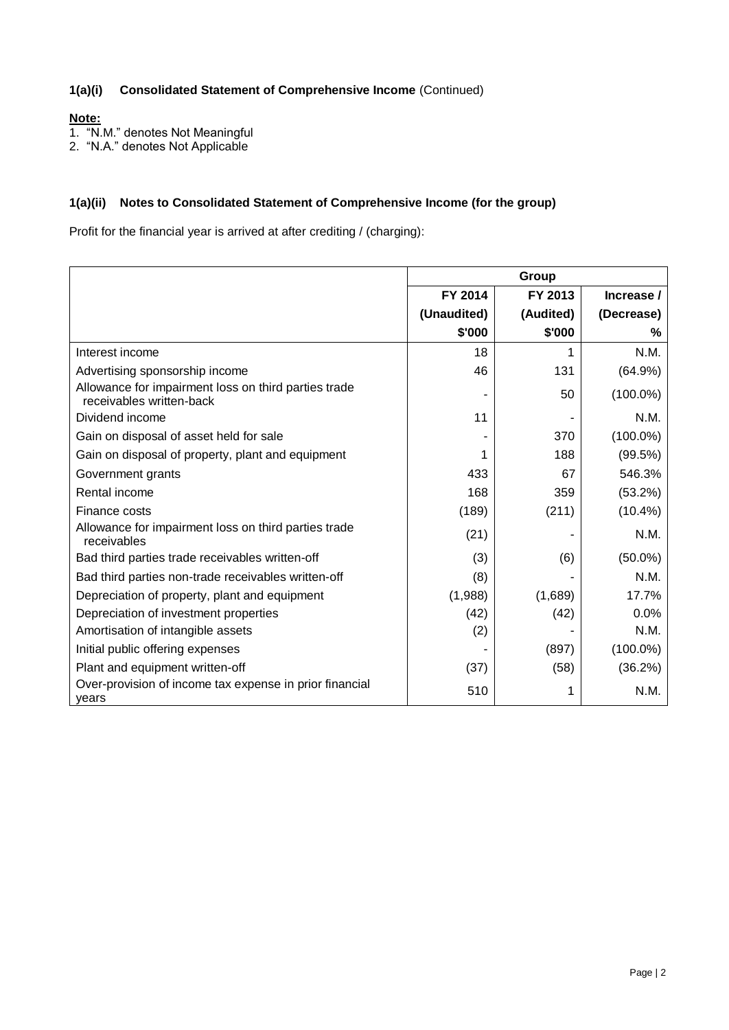## **1(a)(i) Consolidated Statement of Comprehensive Income** (Continued)

## **Note:**

1. "N.M." denotes Not Meaningful

2. "N.A." denotes Not Applicable

## **1(a)(ii) Notes to Consolidated Statement of Comprehensive Income (for the group)**

Profit for the financial year is arrived at after crediting / (charging):

|                                                                                  |             | Group     |             |
|----------------------------------------------------------------------------------|-------------|-----------|-------------|
|                                                                                  | FY 2014     | FY 2013   | Increase /  |
|                                                                                  | (Unaudited) | (Audited) | (Decrease)  |
|                                                                                  | \$'000      | \$'000    | %           |
| Interest income                                                                  | 18          | 1         | N.M.        |
| Advertising sponsorship income                                                   | 46          | 131       | (64.9%)     |
| Allowance for impairment loss on third parties trade<br>receivables written-back |             | 50        | $(100.0\%)$ |
| Dividend income                                                                  | 11          |           | N.M.        |
| Gain on disposal of asset held for sale                                          |             | 370       | $(100.0\%)$ |
| Gain on disposal of property, plant and equipment                                |             | 188       | (99.5%)     |
| Government grants                                                                | 433         | 67        | 546.3%      |
| Rental income                                                                    | 168         | 359       | (53.2%)     |
| Finance costs                                                                    | (189)       | (211)     | $(10.4\%)$  |
| Allowance for impairment loss on third parties trade<br>receivables              | (21)        |           | N.M.        |
| Bad third parties trade receivables written-off                                  | (3)         | (6)       | $(50.0\%)$  |
| Bad third parties non-trade receivables written-off                              | (8)         |           | N.M.        |
| Depreciation of property, plant and equipment                                    | (1,988)     | (1,689)   | 17.7%       |
| Depreciation of investment properties                                            | (42)        | (42)      | 0.0%        |
| Amortisation of intangible assets                                                | (2)         |           | N.M.        |
| Initial public offering expenses                                                 |             | (897)     | $(100.0\%)$ |
| Plant and equipment written-off                                                  | (37)        | (58)      | (36.2%)     |
| Over-provision of income tax expense in prior financial<br>vears                 | 510         |           | N.M.        |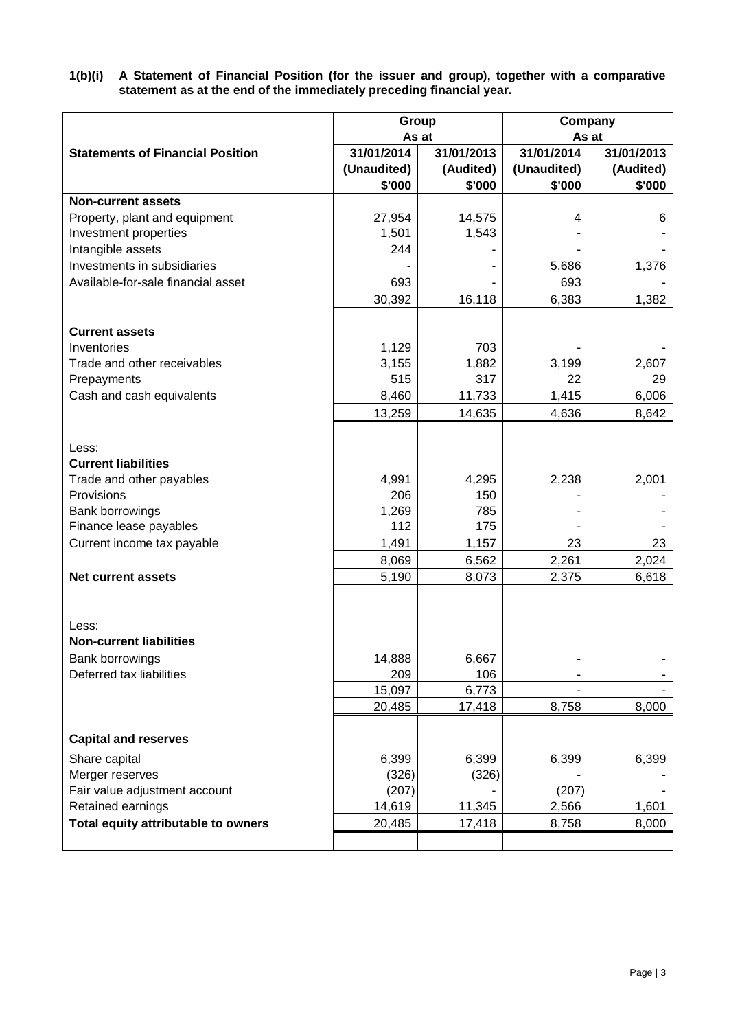**1(b)(i) A Statement of Financial Position (for the issuer and group), together with a comparative statement as at the end of the immediately preceding financial year.**

|                                         | Group       |            | Company     |            |
|-----------------------------------------|-------------|------------|-------------|------------|
|                                         |             | As at      |             | As at      |
| <b>Statements of Financial Position</b> | 31/01/2014  | 31/01/2013 | 31/01/2014  | 31/01/2013 |
|                                         | (Unaudited) | (Audited)  | (Unaudited) | (Audited)  |
|                                         | \$'000      | \$'000     | \$'000      | \$'000     |
| <b>Non-current assets</b>               |             |            |             |            |
| Property, plant and equipment           | 27,954      | 14,575     | 4           | 6          |
| Investment properties                   | 1,501       | 1,543      |             |            |
| Intangible assets                       | 244         |            |             |            |
| Investments in subsidiaries             |             |            | 5,686       | 1,376      |
| Available-for-sale financial asset      | 693         |            | 693         |            |
|                                         | 30,392      | 16,118     | 6,383       | 1,382      |
| <b>Current assets</b>                   |             |            |             |            |
| Inventories                             | 1,129       | 703        |             |            |
| Trade and other receivables             | 3,155       | 1,882      | 3,199       | 2,607      |
| Prepayments                             | 515         | 317        | 22          | 29         |
| Cash and cash equivalents               | 8,460       | 11,733     | 1,415       | 6,006      |
|                                         | 13,259      | 14,635     | 4,636       | 8,642      |
|                                         |             |            |             |            |
| Less:                                   |             |            |             |            |
| <b>Current liabilities</b>              |             |            |             |            |
| Trade and other payables                | 4,991       | 4,295      | 2,238       | 2,001      |
| Provisions                              | 206         | 150        |             |            |
| Bank borrowings                         | 1,269       | 785        |             |            |
| Finance lease payables                  | 112         | 175        |             |            |
| Current income tax payable              | 1,491       | 1,157      | 23          | 23         |
|                                         |             |            | 2,261       | 2,024      |
| <b>Net current assets</b>               | 8,069       | 6,562      |             |            |
|                                         | 5,190       | 8,073      | 2,375       | 6,618      |
|                                         |             |            |             |            |
| Less:                                   |             |            |             |            |
| <b>Non-current liabilities</b>          |             |            |             |            |
| Bank borrowings                         | 14,888      | 6,667      |             |            |
| Deferred tax liabilities                | 209         | 106        |             |            |
|                                         | 15,097      | 6,773      |             |            |
|                                         | 20,485      | 17,418     | 8,758       | 8,000      |
| <b>Capital and reserves</b>             |             |            |             |            |
| Share capital                           | 6,399       | 6,399      | 6,399       | 6,399      |
| Merger reserves                         | (326)       | (326)      |             |            |
| Fair value adjustment account           | (207)       |            | (207)       |            |
| Retained earnings                       | 14,619      | 11,345     | 2,566       | 1,601      |
| Total equity attributable to owners     | 20,485      | 17,418     | 8,758       | 8,000      |
|                                         |             |            |             |            |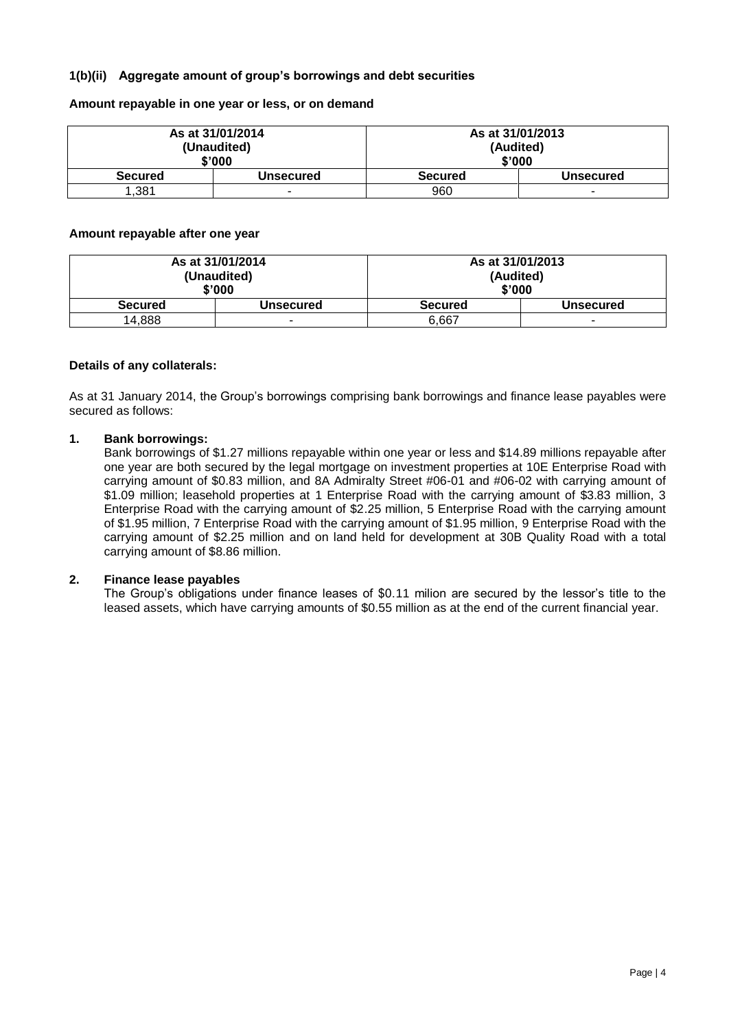## **1(b)(ii) Aggregate amount of group's borrowings and debt securities**

**Amount repayable in one year or less, or on demand**

|                | As at 31/01/2014 | As at 31/01/2013 |           |
|----------------|------------------|------------------|-----------|
| (Unaudited)    |                  | (Audited)        |           |
| \$'000         |                  | \$'000           |           |
| <b>Secured</b> | Unsecured        | <b>Secured</b>   | Unsecured |
| 1,381          |                  | 960              |           |

#### **Amount repayable after one year**

| As at 31/01/2014<br>(Unaudited)<br>\$'000 |           | As at 31/01/2013<br>(Audited)<br>\$'000 |                  |
|-------------------------------------------|-----------|-----------------------------------------|------------------|
| <b>Secured</b>                            | Unsecured | <b>Secured</b>                          | <b>Unsecured</b> |
| 14.888                                    | -         | 6.667                                   | $\sim$           |

#### **Details of any collaterals:**

As at 31 January 2014, the Group's borrowings comprising bank borrowings and finance lease payables were secured as follows:

#### **1. Bank borrowings:**

Bank borrowings of \$1.27 millions repayable within one year or less and \$14.89 millions repayable after one year are both secured by the legal mortgage on investment properties at 10E Enterprise Road with carrying amount of \$0.83 million, and 8A Admiralty Street #06-01 and #06-02 with carrying amount of \$1.09 million; leasehold properties at 1 Enterprise Road with the carrying amount of \$3.83 million, 3 Enterprise Road with the carrying amount of \$2.25 million, 5 Enterprise Road with the carrying amount of \$1.95 million, 7 Enterprise Road with the carrying amount of \$1.95 million, 9 Enterprise Road with the carrying amount of \$2.25 million and on land held for development at 30B Quality Road with a total carrying amount of \$8.86 million.

#### **2. Finance lease payables**

The Group's obligations under finance leases of \$0.11 milion are secured by the lessor's title to the leased assets, which have carrying amounts of \$0.55 million as at the end of the current financial year.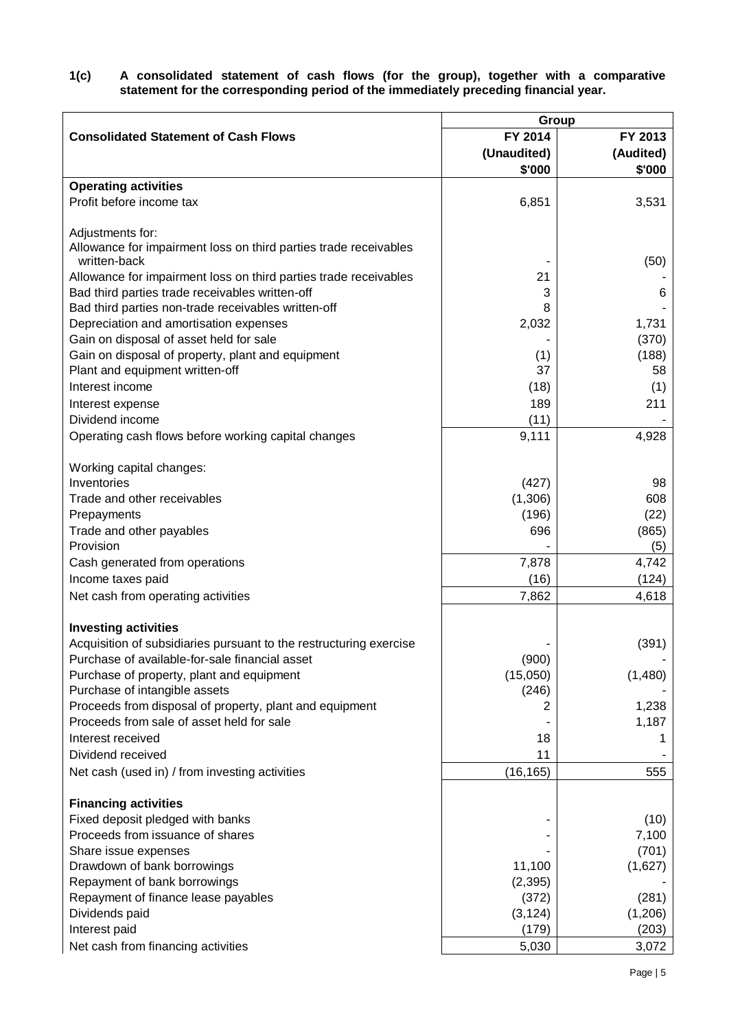**1(c) A consolidated statement of cash flows (for the group), together with a comparative statement for the corresponding period of the immediately preceding financial year.**

|                                                                                  | Group              |           |
|----------------------------------------------------------------------------------|--------------------|-----------|
| <b>Consolidated Statement of Cash Flows</b>                                      | FY 2014            | FY 2013   |
|                                                                                  | (Unaudited)        | (Audited) |
|                                                                                  | \$'000             | \$'000    |
| <b>Operating activities</b>                                                      |                    |           |
| Profit before income tax                                                         | 6,851              | 3,531     |
|                                                                                  |                    |           |
| Adjustments for:                                                                 |                    |           |
| Allowance for impairment loss on third parties trade receivables<br>written-back |                    | (50)      |
| Allowance for impairment loss on third parties trade receivables                 | 21                 |           |
| Bad third parties trade receivables written-off                                  | 3                  | 6         |
| Bad third parties non-trade receivables written-off                              | 8                  |           |
| Depreciation and amortisation expenses                                           | 2,032              | 1,731     |
| Gain on disposal of asset held for sale                                          |                    | (370)     |
| Gain on disposal of property, plant and equipment                                | (1)                | (188)     |
| Plant and equipment written-off                                                  | 37                 | 58        |
| Interest income                                                                  | (18)               | (1)       |
| Interest expense                                                                 | 189                | 211       |
| Dividend income                                                                  | (11)               |           |
| Operating cash flows before working capital changes                              | 9,111              | 4,928     |
|                                                                                  |                    |           |
| Working capital changes:                                                         |                    |           |
| Inventories                                                                      | (427)              | 98        |
| Trade and other receivables                                                      | (1,306)            | 608       |
| Prepayments                                                                      | (196)              | (22)      |
| Trade and other payables                                                         | 696                | (865)     |
| Provision                                                                        |                    | (5)       |
| Cash generated from operations                                                   | 7,878              | 4,742     |
| Income taxes paid                                                                | (16)               | (124)     |
| Net cash from operating activities                                               | 7,862              | 4,618     |
|                                                                                  |                    |           |
| <b>Investing activities</b>                                                      |                    |           |
| Acquisition of subsidiaries pursuant to the restructuring exercise               |                    | (391)     |
| Purchase of available-for-sale financial asset                                   | (900)              |           |
| Purchase of property, plant and equipment                                        | (15,050)           | (1,480)   |
| Purchase of intangible assets                                                    | (246)              |           |
| Proceeds from disposal of property, plant and equipment                          |                    | 1,238     |
| Proceeds from sale of asset held for sale                                        |                    | 1,187     |
| Interest received                                                                | 18                 |           |
| Dividend received                                                                | 11                 |           |
| Net cash (used in) / from investing activities                                   | (16, 165)          | 555       |
|                                                                                  |                    |           |
| <b>Financing activities</b>                                                      |                    |           |
| Fixed deposit pledged with banks                                                 |                    | (10)      |
| Proceeds from issuance of shares                                                 |                    | 7,100     |
| Share issue expenses                                                             |                    | (701)     |
| Drawdown of bank borrowings<br>Repayment of bank borrowings                      | 11,100<br>(2, 395) | (1,627)   |
| Repayment of finance lease payables                                              | (372)              | (281)     |
| Dividends paid                                                                   | (3, 124)           | (1,206)   |
| Interest paid                                                                    | (179)              | (203)     |
| Net cash from financing activities                                               | 5,030              | 3,072     |
|                                                                                  |                    |           |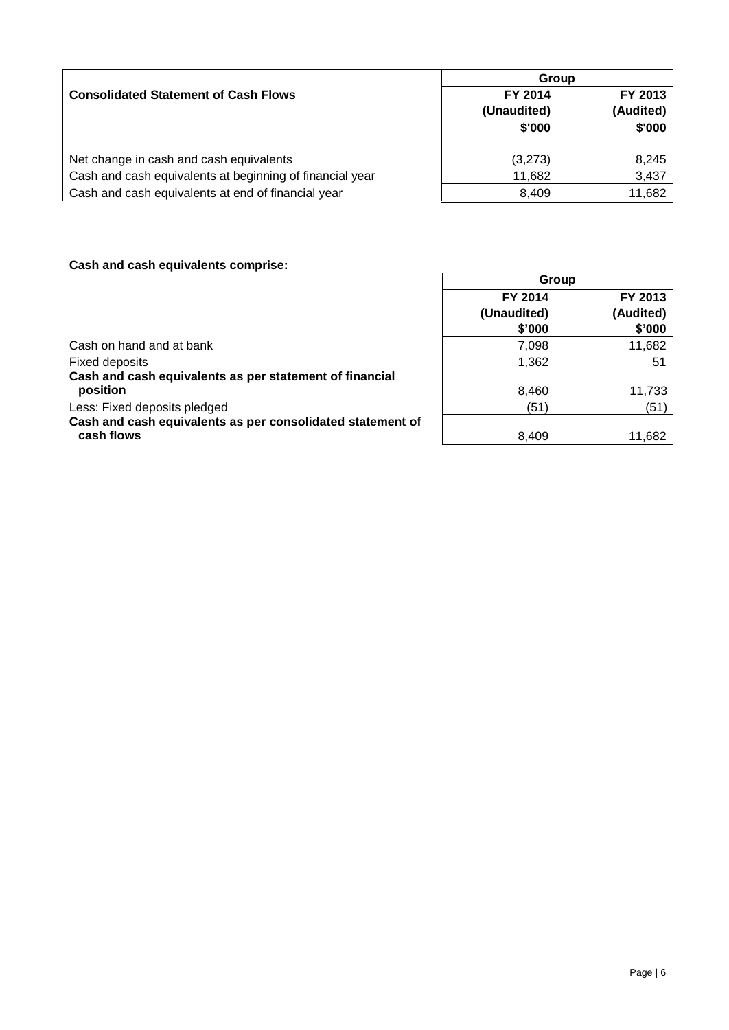|                                                          | Group       |           |  |  |
|----------------------------------------------------------|-------------|-----------|--|--|
| <b>Consolidated Statement of Cash Flows</b>              | FY 2014     | FY 2013   |  |  |
|                                                          | (Unaudited) | (Audited) |  |  |
|                                                          | \$'000      | \$'000    |  |  |
|                                                          |             |           |  |  |
| Net change in cash and cash equivalents                  | (3,273)     | 8,245     |  |  |
| Cash and cash equivalents at beginning of financial year | 11,682      | 3,437     |  |  |
| Cash and cash equivalents at end of financial year       | 8,409       | 11,682    |  |  |

# **Cash and cash equivalents comprise:**

|                                                            | Group       |           |  |
|------------------------------------------------------------|-------------|-----------|--|
|                                                            | FY 2014     | FY 2013   |  |
|                                                            | (Unaudited) | (Audited) |  |
|                                                            | \$'000      | \$'000    |  |
| Cash on hand and at bank                                   | 7,098       | 11,682    |  |
| <b>Fixed deposits</b>                                      | 1,362       | 51        |  |
| Cash and cash equivalents as per statement of financial    |             |           |  |
| position                                                   | 8,460       | 11,733    |  |
| Less: Fixed deposits pledged                               | (51)        | (51)      |  |
| Cash and cash equivalents as per consolidated statement of |             |           |  |
| cash flows                                                 | 8.409       | 11,682    |  |

٦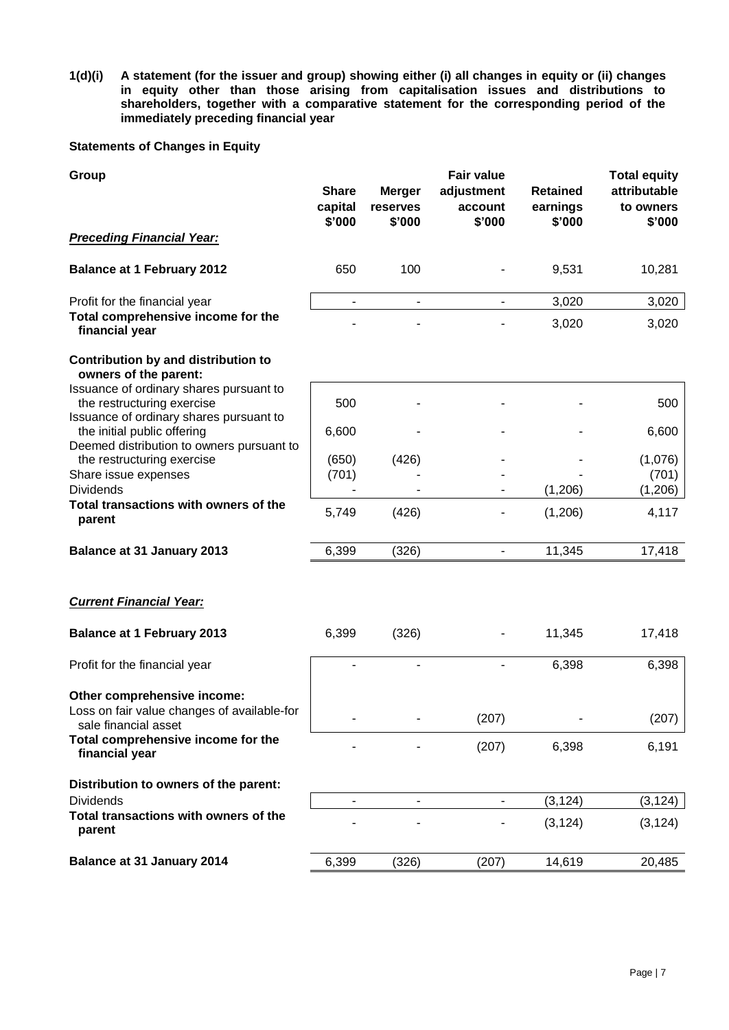**1(d)(i) A statement (for the issuer and group) showing either (i) all changes in equity or (ii) changes in equity other than those arising from capitalisation issues and distributions to shareholders, together with a comparative statement for the corresponding period of the immediately preceding financial year**

## **Statements of Changes in Equity**

| Group                                                                                                               | <b>Share</b><br>capital<br>\$'000 | <b>Merger</b><br>reserves<br>\$'000 | <b>Fair value</b><br>adjustment<br>account<br>\$'000 | <b>Retained</b><br>earnings<br>\$'000 | <b>Total equity</b><br>attributable<br>to owners<br>\$'000 |
|---------------------------------------------------------------------------------------------------------------------|-----------------------------------|-------------------------------------|------------------------------------------------------|---------------------------------------|------------------------------------------------------------|
| <b>Preceding Financial Year:</b>                                                                                    |                                   |                                     |                                                      |                                       |                                                            |
| <b>Balance at 1 February 2012</b>                                                                                   | 650                               | 100                                 |                                                      | 9,531                                 | 10,281                                                     |
| Profit for the financial year                                                                                       | ۰                                 | $\overline{\phantom{a}}$            | $\blacksquare$                                       | 3,020                                 | 3,020                                                      |
| Total comprehensive income for the<br>financial year                                                                |                                   |                                     |                                                      | 3,020                                 | 3,020                                                      |
| Contribution by and distribution to<br>owners of the parent:                                                        |                                   |                                     |                                                      |                                       |                                                            |
| Issuance of ordinary shares pursuant to<br>the restructuring exercise                                               | 500                               |                                     |                                                      |                                       | 500                                                        |
| Issuance of ordinary shares pursuant to<br>the initial public offering<br>Deemed distribution to owners pursuant to | 6,600                             |                                     |                                                      |                                       | 6,600                                                      |
| the restructuring exercise                                                                                          | (650)                             | (426)                               |                                                      |                                       | (1,076)                                                    |
| Share issue expenses<br><b>Dividends</b>                                                                            | (701)                             |                                     |                                                      | (1,206)                               | (701)<br>(1, 206)                                          |
| Total transactions with owners of the<br>parent                                                                     | 5,749                             | (426)                               |                                                      | (1,206)                               | 4,117                                                      |
| <b>Balance at 31 January 2013</b>                                                                                   | 6,399                             | (326)                               | $\overline{\phantom{a}}$                             | 11,345                                | 17,418                                                     |
| <b>Current Financial Year:</b>                                                                                      |                                   |                                     |                                                      |                                       |                                                            |
| <b>Balance at 1 February 2013</b>                                                                                   | 6,399                             | (326)                               |                                                      | 11,345                                | 17,418                                                     |
| Profit for the financial year                                                                                       |                                   |                                     |                                                      | 6,398                                 | 6,398                                                      |
| Other comprehensive income:<br>Loss on fair value changes of available-for<br>sale financial asset                  |                                   |                                     | (207)                                                |                                       | (207)                                                      |
| Total comprehensive income for the<br>financial year                                                                |                                   |                                     | (207)                                                | 6,398                                 | 6,191                                                      |
| Distribution to owners of the parent:                                                                               |                                   |                                     |                                                      |                                       |                                                            |
| <b>Dividends</b><br>Total transactions with owners of the                                                           | $\overline{\phantom{a}}$          |                                     |                                                      | (3, 124)                              | (3, 124)                                                   |
| parent                                                                                                              |                                   |                                     |                                                      | (3, 124)                              | (3, 124)                                                   |
| <b>Balance at 31 January 2014</b>                                                                                   | 6,399                             | (326)                               | (207)                                                | 14,619                                | 20,485                                                     |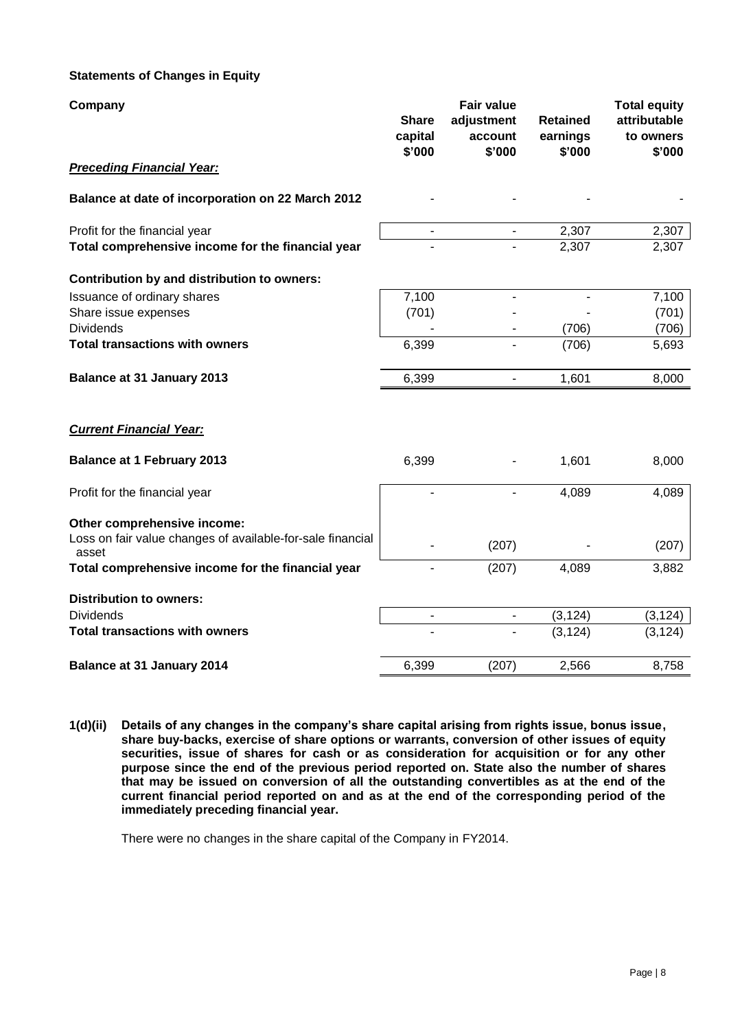## **Statements of Changes in Equity**

| Company                                                                                            | <b>Share</b><br>capital<br>\$'000 | <b>Fair value</b><br>adjustment<br>account<br>\$'000 | <b>Retained</b><br>earnings<br>\$'000 | <b>Total equity</b><br>attributable<br>to owners<br>\$'000 |
|----------------------------------------------------------------------------------------------------|-----------------------------------|------------------------------------------------------|---------------------------------------|------------------------------------------------------------|
| <b>Preceding Financial Year:</b>                                                                   |                                   |                                                      |                                       |                                                            |
| Balance at date of incorporation on 22 March 2012                                                  |                                   |                                                      |                                       |                                                            |
| Profit for the financial year<br>Total comprehensive income for the financial year                 | $\overline{\phantom{a}}$          | $\blacksquare$                                       | 2,307<br>2,307                        | 2,307<br>2,307                                             |
| Contribution by and distribution to owners:                                                        |                                   |                                                      |                                       |                                                            |
| Issuance of ordinary shares<br>Share issue expenses<br><b>Dividends</b>                            | 7,100<br>(701)                    |                                                      | (706)                                 | 7,100<br>(701)<br>(706)                                    |
| <b>Total transactions with owners</b>                                                              | 6,399                             |                                                      | (706)                                 | 5,693                                                      |
| <b>Balance at 31 January 2013</b>                                                                  | 6,399                             | $\qquad \qquad \blacksquare$                         | 1,601                                 | 8,000                                                      |
| <b>Current Financial Year:</b>                                                                     |                                   |                                                      |                                       |                                                            |
| <b>Balance at 1 February 2013</b>                                                                  | 6,399                             |                                                      | 1,601                                 | 8,000                                                      |
| Profit for the financial year                                                                      |                                   |                                                      | 4,089                                 | 4,089                                                      |
| Other comprehensive income:<br>Loss on fair value changes of available-for-sale financial<br>asset |                                   | (207)                                                |                                       | (207)                                                      |
| Total comprehensive income for the financial year                                                  |                                   | (207)                                                | 4,089                                 | 3,882                                                      |
| <b>Distribution to owners:</b>                                                                     |                                   |                                                      |                                       |                                                            |
| <b>Dividends</b><br><b>Total transactions with owners</b>                                          | $\qquad \qquad \blacksquare$      | $\blacksquare$                                       | (3, 124)                              | (3, 124)                                                   |
|                                                                                                    |                                   |                                                      | (3, 124)                              | (3, 124)                                                   |
| <b>Balance at 31 January 2014</b>                                                                  | 6,399                             | (207)                                                | 2,566                                 | 8,758                                                      |

**1(d)(ii) Details of any changes in the company's share capital arising from rights issue, bonus issue, share buy-backs, exercise of share options or warrants, conversion of other issues of equity securities, issue of shares for cash or as consideration for acquisition or for any other purpose since the end of the previous period reported on. State also the number of shares that may be issued on conversion of all the outstanding convertibles as at the end of the current financial period reported on and as at the end of the corresponding period of the immediately preceding financial year.**

There were no changes in the share capital of the Company in FY2014.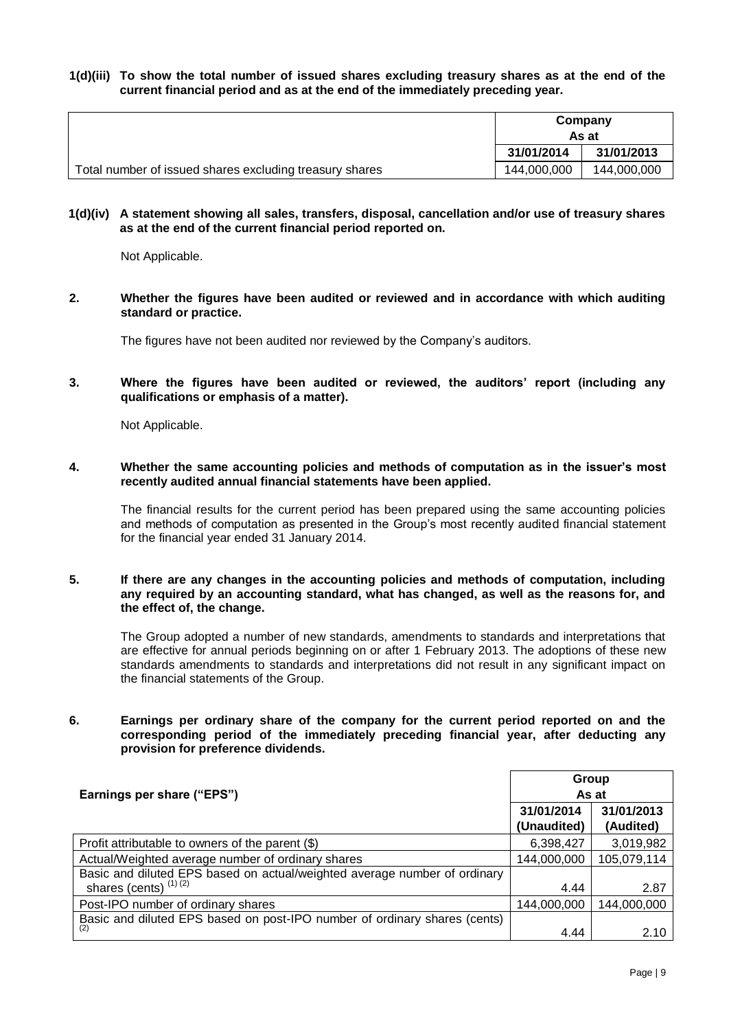#### **1(d)(iii) To show the total number of issued shares excluding treasury shares as at the end of the current financial period and as at the end of the immediately preceding year.**

|                                                         | Company     |             |
|---------------------------------------------------------|-------------|-------------|
|                                                         | As at       |             |
|                                                         | 31/01/2014  | 31/01/2013  |
| Total number of issued shares excluding treasury shares | 144,000,000 | 144,000,000 |

#### **1(d)(iv) A statement showing all sales, transfers, disposal, cancellation and/or use of treasury shares as at the end of the current financial period reported on.**

Not Applicable.

**2. Whether the figures have been audited or reviewed and in accordance with which auditing standard or practice.**

The figures have not been audited nor reviewed by the Company's auditors.

**3. Where the figures have been audited or reviewed, the auditors' report (including any qualifications or emphasis of a matter).**

Not Applicable.

**4. Whether the same accounting policies and methods of computation as in the issuer's most recently audited annual financial statements have been applied.**

The financial results for the current period has been prepared using the same accounting policies and methods of computation as presented in the Group's most recently audited financial statement for the financial year ended 31 January 2014.

**5. If there are any changes in the accounting policies and methods of computation, including any required by an accounting standard, what has changed, as well as the reasons for, and the effect of, the change.**

The Group adopted a number of new standards, amendments to standards and interpretations that are effective for annual periods beginning on or after 1 February 2013. The adoptions of these new standards amendments to standards and interpretations did not result in any significant impact on the financial statements of the Group.

**6. Earnings per ordinary share of the company for the current period reported on and the corresponding period of the immediately preceding financial year, after deducting any provision for preference dividends.**

| Earnings per share ("EPS")                                                                           | Group<br>As at            |                         |
|------------------------------------------------------------------------------------------------------|---------------------------|-------------------------|
|                                                                                                      | 31/01/2014<br>(Unaudited) | 31/01/2013<br>(Audited) |
| Profit attributable to owners of the parent (\$)                                                     | 6,398,427                 | 3,019,982               |
| Actual/Weighted average number of ordinary shares                                                    | 144,000,000               | 105,079,114             |
| Basic and diluted EPS based on actual/weighted average number of ordinary<br>shares (cents) $(1)(2)$ | 4.44                      | 2.87                    |
| Post-IPO number of ordinary shares                                                                   | 144,000,000               | 144,000,000             |
| Basic and diluted EPS based on post-IPO number of ordinary shares (cents)<br>(2)                     | 4.44                      | 2.10                    |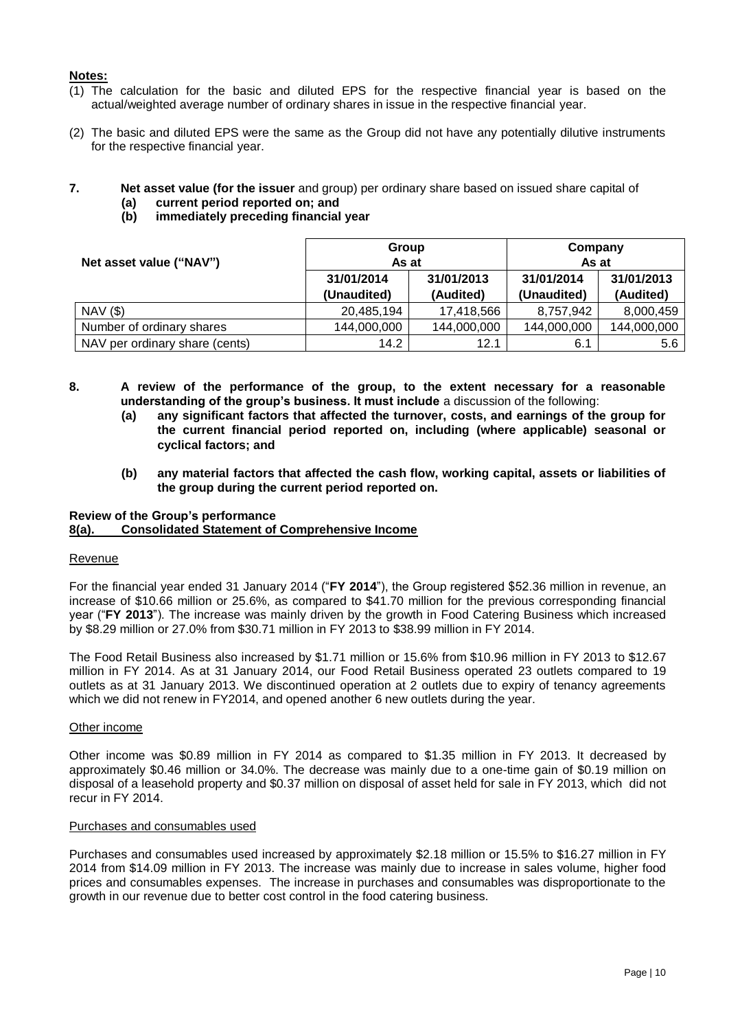## **Notes:**

- (1) The calculation for the basic and diluted EPS for the respective financial year is based on the actual/weighted average number of ordinary shares in issue in the respective financial year.
- (2) The basic and diluted EPS were the same as the Group did not have any potentially dilutive instruments for the respective financial year.
- **7. Net asset value (for the issuer** and group) per ordinary share based on issued share capital of
	- **(a) current period reported on; and**
	- **(b) immediately preceding financial year**

|                                | Group                             |             | Company     |             |
|--------------------------------|-----------------------------------|-------------|-------------|-------------|
| Net asset value ("NAV")        | As at<br>31/01/2013<br>31/01/2014 |             | As at       |             |
|                                |                                   |             | 31/01/2014  | 31/01/2013  |
|                                | (Unaudited)                       | (Audited)   | (Unaudited) | (Audited)   |
| $NAV($ \$)                     | 20,485,194                        | 17,418,566  | 8,757,942   | 8,000,459   |
| Number of ordinary shares      | 144,000,000                       | 144,000,000 | 144,000,000 | 144,000,000 |
| NAV per ordinary share (cents) | 14.2                              | 12.1        | 6.1         | 5.6         |

- **8. A review of the performance of the group, to the extent necessary for a reasonable understanding of the group's business. It must include** a discussion of the following:
	- **(a) any significant factors that affected the turnover, costs, and earnings of the group for the current financial period reported on, including (where applicable) seasonal or cyclical factors; and**
	- **(b) any material factors that affected the cash flow, working capital, assets or liabilities of the group during the current period reported on.**

# **Review of the Group's performance**

## **8(a). Consolidated Statement of Comprehensive Income**

#### Revenue

For the financial year ended 31 January 2014 ("**FY 2014**"), the Group registered \$52.36 million in revenue, an increase of \$10.66 million or 25.6%, as compared to \$41.70 million for the previous corresponding financial year ("**FY 2013**"). The increase was mainly driven by the growth in Food Catering Business which increased by \$8.29 million or 27.0% from \$30.71 million in FY 2013 to \$38.99 million in FY 2014.

The Food Retail Business also increased by \$1.71 million or 15.6% from \$10.96 million in FY 2013 to \$12.67 million in FY 2014. As at 31 January 2014, our Food Retail Business operated 23 outlets compared to 19 outlets as at 31 January 2013. We discontinued operation at 2 outlets due to expiry of tenancy agreements which we did not renew in FY2014, and opened another 6 new outlets during the year.

#### Other income

Other income was \$0.89 million in FY 2014 as compared to \$1.35 million in FY 2013. It decreased by approximately \$0.46 million or 34.0%. The decrease was mainly due to a one-time gain of \$0.19 million on disposal of a leasehold property and \$0.37 million on disposal of asset held for sale in FY 2013, which did not recur in FY 2014.

#### Purchases and consumables used

Purchases and consumables used increased by approximately \$2.18 million or 15.5% to \$16.27 million in FY 2014 from \$14.09 million in FY 2013. The increase was mainly due to increase in sales volume, higher food prices and consumables expenses. The increase in purchases and consumables was disproportionate to the growth in our revenue due to better cost control in the food catering business.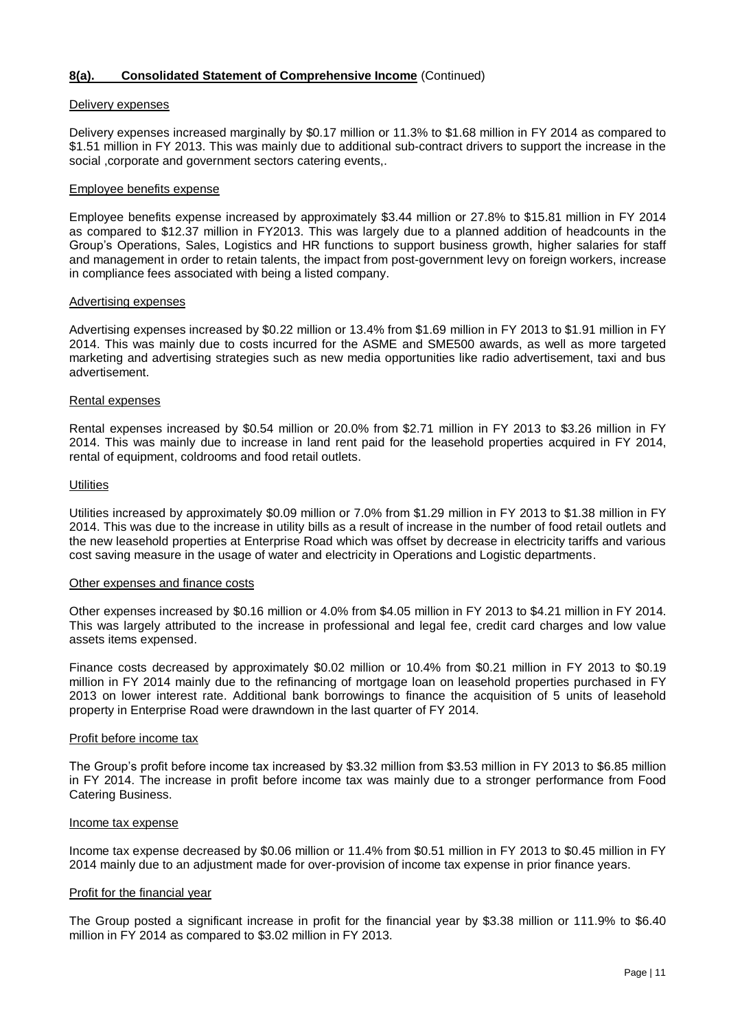### **8(a). Consolidated Statement of Comprehensive Income** (Continued)

#### Delivery expenses

Delivery expenses increased marginally by \$0.17 million or 11.3% to \$1.68 million in FY 2014 as compared to \$1.51 million in FY 2013. This was mainly due to additional sub-contract drivers to support the increase in the social ,corporate and government sectors catering events,.

#### Employee benefits expense

Employee benefits expense increased by approximately \$3.44 million or 27.8% to \$15.81 million in FY 2014 as compared to \$12.37 million in FY2013. This was largely due to a planned addition of headcounts in the Group's Operations, Sales, Logistics and HR functions to support business growth, higher salaries for staff and management in order to retain talents, the impact from post-government levy on foreign workers, increase in compliance fees associated with being a listed company.

#### Advertising expenses

Advertising expenses increased by \$0.22 million or 13.4% from \$1.69 million in FY 2013 to \$1.91 million in FY 2014. This was mainly due to costs incurred for the ASME and SME500 awards, as well as more targeted marketing and advertising strategies such as new media opportunities like radio advertisement, taxi and bus advertisement.

## Rental expenses

Rental expenses increased by \$0.54 million or 20.0% from \$2.71 million in FY 2013 to \$3.26 million in FY 2014. This was mainly due to increase in land rent paid for the leasehold properties acquired in FY 2014, rental of equipment, coldrooms and food retail outlets.

#### **Utilities**

Utilities increased by approximately \$0.09 million or 7.0% from \$1.29 million in FY 2013 to \$1.38 million in FY 2014. This was due to the increase in utility bills as a result of increase in the number of food retail outlets and the new leasehold properties at Enterprise Road which was offset by decrease in electricity tariffs and various cost saving measure in the usage of water and electricity in Operations and Logistic departments.

#### Other expenses and finance costs

Other expenses increased by \$0.16 million or 4.0% from \$4.05 million in FY 2013 to \$4.21 million in FY 2014. This was largely attributed to the increase in professional and legal fee, credit card charges and low value assets items expensed.

Finance costs decreased by approximately \$0.02 million or 10.4% from \$0.21 million in FY 2013 to \$0.19 million in FY 2014 mainly due to the refinancing of mortgage loan on leasehold properties purchased in FY 2013 on lower interest rate. Additional bank borrowings to finance the acquisition of 5 units of leasehold property in Enterprise Road were drawndown in the last quarter of FY 2014.

#### Profit before income tax

The Group's profit before income tax increased by \$3.32 million from \$3.53 million in FY 2013 to \$6.85 million in FY 2014. The increase in profit before income tax was mainly due to a stronger performance from Food Catering Business.

#### Income tax expense

Income tax expense decreased by \$0.06 million or 11.4% from \$0.51 million in FY 2013 to \$0.45 million in FY 2014 mainly due to an adjustment made for over-provision of income tax expense in prior finance years.

#### Profit for the financial year

The Group posted a significant increase in profit for the financial year by \$3.38 million or 111.9% to \$6.40 million in FY 2014 as compared to \$3.02 million in FY 2013.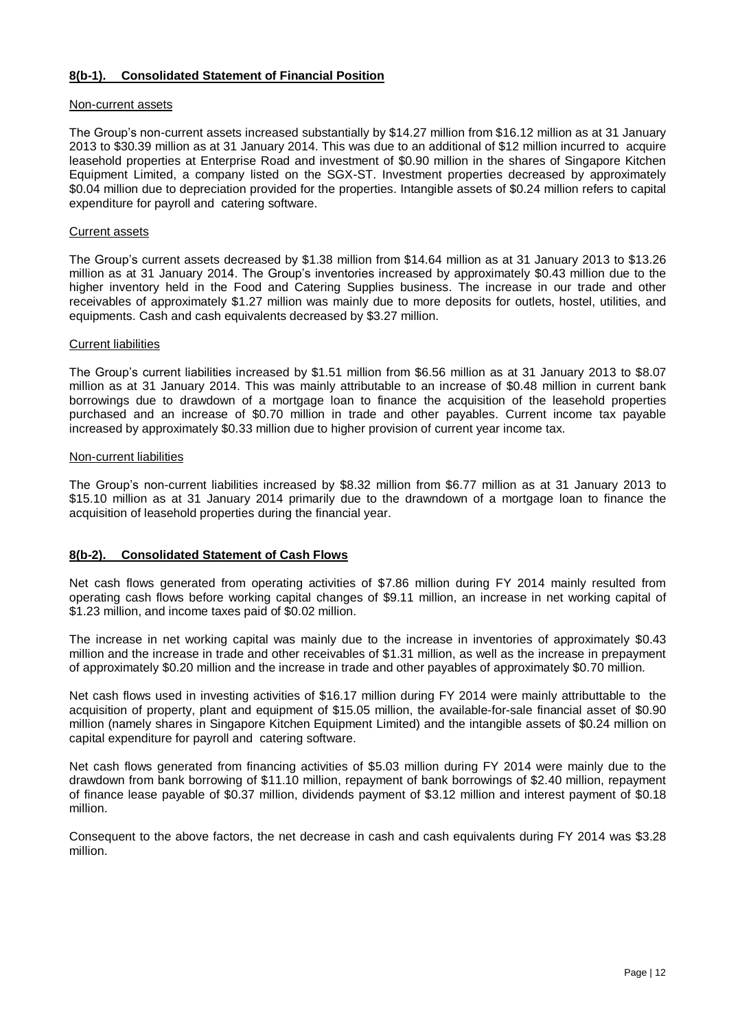## **8(b-1). Consolidated Statement of Financial Position**

#### Non-current assets

The Group's non-current assets increased substantially by \$14.27 million from \$16.12 million as at 31 January 2013 to \$30.39 million as at 31 January 2014. This was due to an additional of \$12 million incurred to acquire leasehold properties at Enterprise Road and investment of \$0.90 million in the shares of Singapore Kitchen Equipment Limited, a company listed on the SGX-ST. Investment properties decreased by approximately \$0.04 million due to depreciation provided for the properties. Intangible assets of \$0.24 million refers to capital expenditure for payroll and catering software.

#### Current assets

The Group's current assets decreased by \$1.38 million from \$14.64 million as at 31 January 2013 to \$13.26 million as at 31 January 2014. The Group's inventories increased by approximately \$0.43 million due to the higher inventory held in the Food and Catering Supplies business. The increase in our trade and other receivables of approximately \$1.27 million was mainly due to more deposits for outlets, hostel, utilities, and equipments. Cash and cash equivalents decreased by \$3.27 million.

#### Current liabilities

The Group's current liabilities increased by \$1.51 million from \$6.56 million as at 31 January 2013 to \$8.07 million as at 31 January 2014. This was mainly attributable to an increase of \$0.48 million in current bank borrowings due to drawdown of a mortgage loan to finance the acquisition of the leasehold properties purchased and an increase of \$0.70 million in trade and other payables. Current income tax payable increased by approximately \$0.33 million due to higher provision of current year income tax.

#### Non-current liabilities

The Group's non-current liabilities increased by \$8.32 million from \$6.77 million as at 31 January 2013 to \$15.10 million as at 31 January 2014 primarily due to the drawndown of a mortgage loan to finance the acquisition of leasehold properties during the financial year.

#### **8(b-2). Consolidated Statement of Cash Flows**

Net cash flows generated from operating activities of \$7.86 million during FY 2014 mainly resulted from operating cash flows before working capital changes of \$9.11 million, an increase in net working capital of \$1.23 million, and income taxes paid of \$0.02 million.

The increase in net working capital was mainly due to the increase in inventories of approximately \$0.43 million and the increase in trade and other receivables of \$1.31 million, as well as the increase in prepayment of approximately \$0.20 million and the increase in trade and other payables of approximately \$0.70 million.

Net cash flows used in investing activities of \$16.17 million during FY 2014 were mainly attributtable to the acquisition of property, plant and equipment of \$15.05 million, the available-for-sale financial asset of \$0.90 million (namely shares in Singapore Kitchen Equipment Limited) and the intangible assets of \$0.24 million on capital expenditure for payroll and catering software.

Net cash flows generated from financing activities of \$5.03 million during FY 2014 were mainly due to the drawdown from bank borrowing of \$11.10 million, repayment of bank borrowings of \$2.40 million, repayment of finance lease payable of \$0.37 million, dividends payment of \$3.12 million and interest payment of \$0.18 million.

Consequent to the above factors, the net decrease in cash and cash equivalents during FY 2014 was \$3.28 million.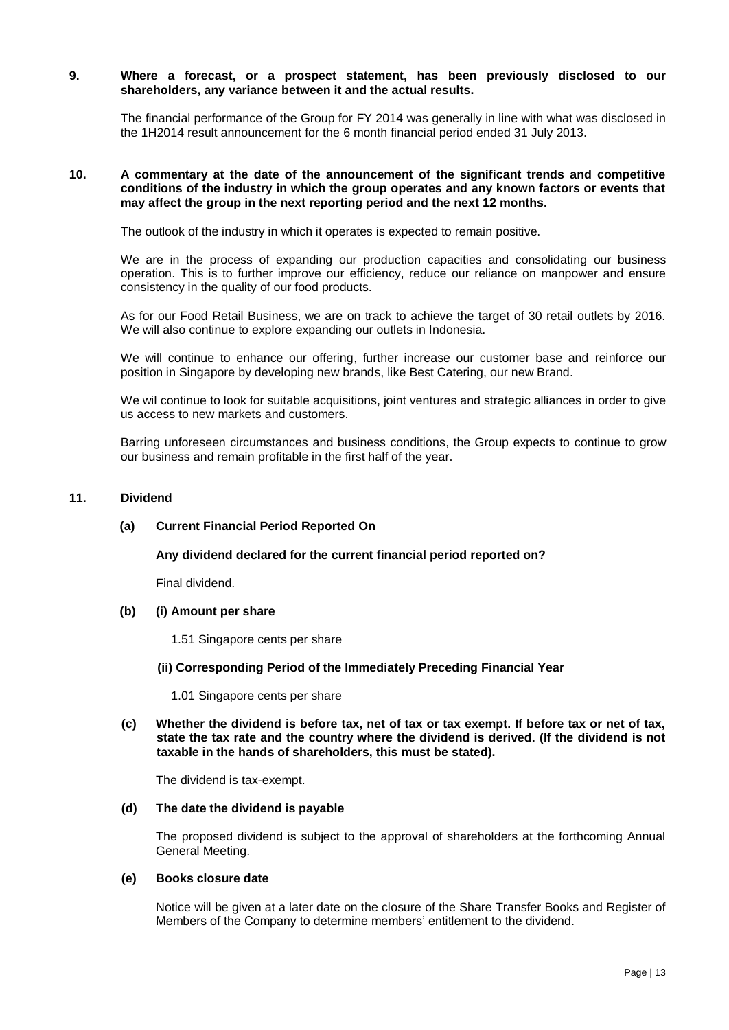#### **9. Where a forecast, or a prospect statement, has been previously disclosed to our shareholders, any variance between it and the actual results.**

The financial performance of the Group for FY 2014 was generally in line with what was disclosed in the 1H2014 result announcement for the 6 month financial period ended 31 July 2013.

#### **10. A commentary at the date of the announcement of the significant trends and competitive conditions of the industry in which the group operates and any known factors or events that may affect the group in the next reporting period and the next 12 months.**

The outlook of the industry in which it operates is expected to remain positive.

We are in the process of expanding our production capacities and consolidating our business operation. This is to further improve our efficiency, reduce our reliance on manpower and ensure consistency in the quality of our food products.

As for our Food Retail Business, we are on track to achieve the target of 30 retail outlets by 2016. We will also continue to explore expanding our outlets in Indonesia.

We will continue to enhance our offering, further increase our customer base and reinforce our position in Singapore by developing new brands, like Best Catering, our new Brand.

We wil continue to look for suitable acquisitions, joint ventures and strategic alliances in order to give us access to new markets and customers.

Barring unforeseen circumstances and business conditions, the Group expects to continue to grow our business and remain profitable in the first half of the year.

#### **11. Dividend**

#### **(a) Current Financial Period Reported On**

#### **Any dividend declared for the current financial period reported on?**

Final dividend.

#### **(b) (i) Amount per share**

1.51 Singapore cents per share

#### **(ii) Corresponding Period of the Immediately Preceding Financial Year**

1.01 Singapore cents per share

**(c) Whether the dividend is before tax, net of tax or tax exempt. If before tax or net of tax, state the tax rate and the country where the dividend is derived. (If the dividend is not taxable in the hands of shareholders, this must be stated).**

The dividend is tax-exempt.

#### **(d) The date the dividend is payable**

The proposed dividend is subject to the approval of shareholders at the forthcoming Annual General Meeting.

#### **(e) Books closure date**

Notice will be given at a later date on the closure of the Share Transfer Books and Register of Members of the Company to determine members' entitlement to the dividend.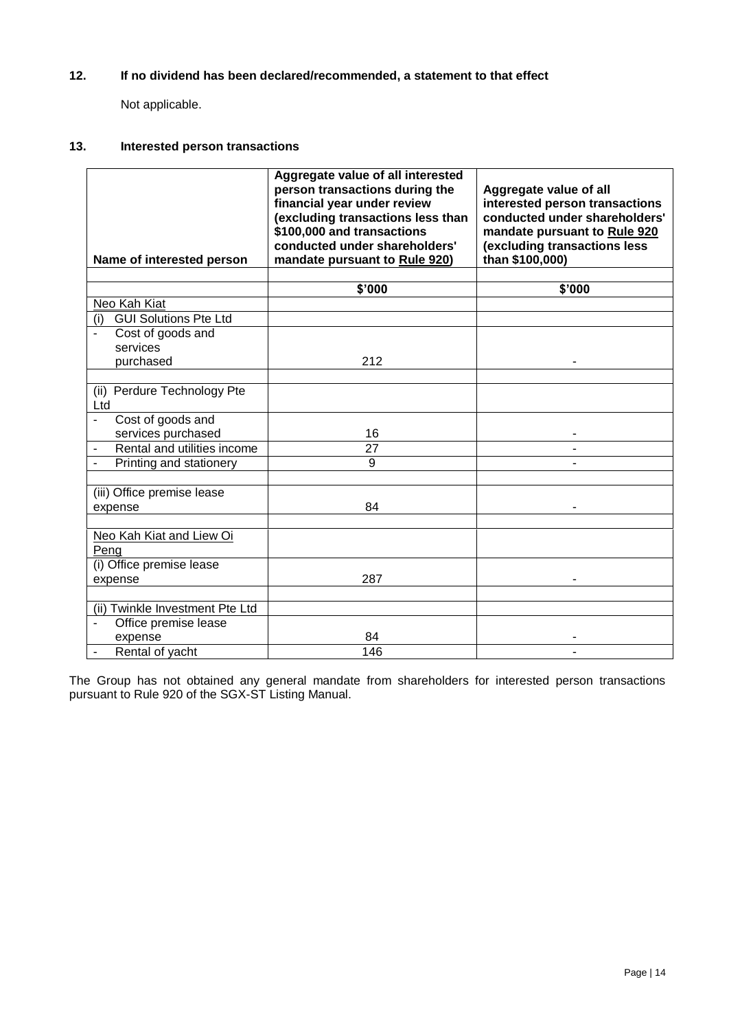## **12. If no dividend has been declared/recommended, a statement to that effect**

Not applicable.

## **13. Interested person transactions**

|                                                  | Aggregate value of all interested<br>person transactions during the<br>financial year under review<br>(excluding transactions less than<br>\$100,000 and transactions<br>conducted under shareholders' | Aggregate value of all<br>interested person transactions<br>conducted under shareholders'<br>mandate pursuant to Rule 920<br>(excluding transactions less |
|--------------------------------------------------|--------------------------------------------------------------------------------------------------------------------------------------------------------------------------------------------------------|-----------------------------------------------------------------------------------------------------------------------------------------------------------|
| Name of interested person                        | mandate pursuant to Rule 920)                                                                                                                                                                          | than \$100,000)                                                                                                                                           |
|                                                  | \$'000                                                                                                                                                                                                 | \$'000                                                                                                                                                    |
| Neo Kah Kiat                                     |                                                                                                                                                                                                        |                                                                                                                                                           |
| <b>GUI Solutions Pte Ltd</b><br>(i)              |                                                                                                                                                                                                        |                                                                                                                                                           |
| Cost of goods and                                |                                                                                                                                                                                                        |                                                                                                                                                           |
| services                                         |                                                                                                                                                                                                        |                                                                                                                                                           |
| purchased                                        | 212                                                                                                                                                                                                    |                                                                                                                                                           |
|                                                  |                                                                                                                                                                                                        |                                                                                                                                                           |
| (ii) Perdure Technology Pte<br>Ltd               |                                                                                                                                                                                                        |                                                                                                                                                           |
| Cost of goods and<br>$\blacksquare$              |                                                                                                                                                                                                        |                                                                                                                                                           |
| services purchased                               | 16                                                                                                                                                                                                     |                                                                                                                                                           |
| Rental and utilities income                      | 27                                                                                                                                                                                                     |                                                                                                                                                           |
| Printing and stationery                          | 9                                                                                                                                                                                                      |                                                                                                                                                           |
|                                                  |                                                                                                                                                                                                        |                                                                                                                                                           |
| (iii) Office premise lease                       |                                                                                                                                                                                                        |                                                                                                                                                           |
| expense                                          | 84                                                                                                                                                                                                     |                                                                                                                                                           |
|                                                  |                                                                                                                                                                                                        |                                                                                                                                                           |
| Neo Kah Kiat and Liew Oi<br>Peng                 |                                                                                                                                                                                                        |                                                                                                                                                           |
| (i) Office premise lease                         |                                                                                                                                                                                                        |                                                                                                                                                           |
| expense                                          | 287                                                                                                                                                                                                    |                                                                                                                                                           |
|                                                  |                                                                                                                                                                                                        |                                                                                                                                                           |
| (ii) Twinkle Investment Pte Ltd                  |                                                                                                                                                                                                        |                                                                                                                                                           |
| Office premise lease<br>$\overline{\phantom{a}}$ |                                                                                                                                                                                                        |                                                                                                                                                           |
| expense                                          | 84                                                                                                                                                                                                     |                                                                                                                                                           |
| Rental of yacht                                  | 146                                                                                                                                                                                                    |                                                                                                                                                           |

The Group has not obtained any general mandate from shareholders for interested person transactions pursuant to Rule 920 of the SGX-ST Listing Manual.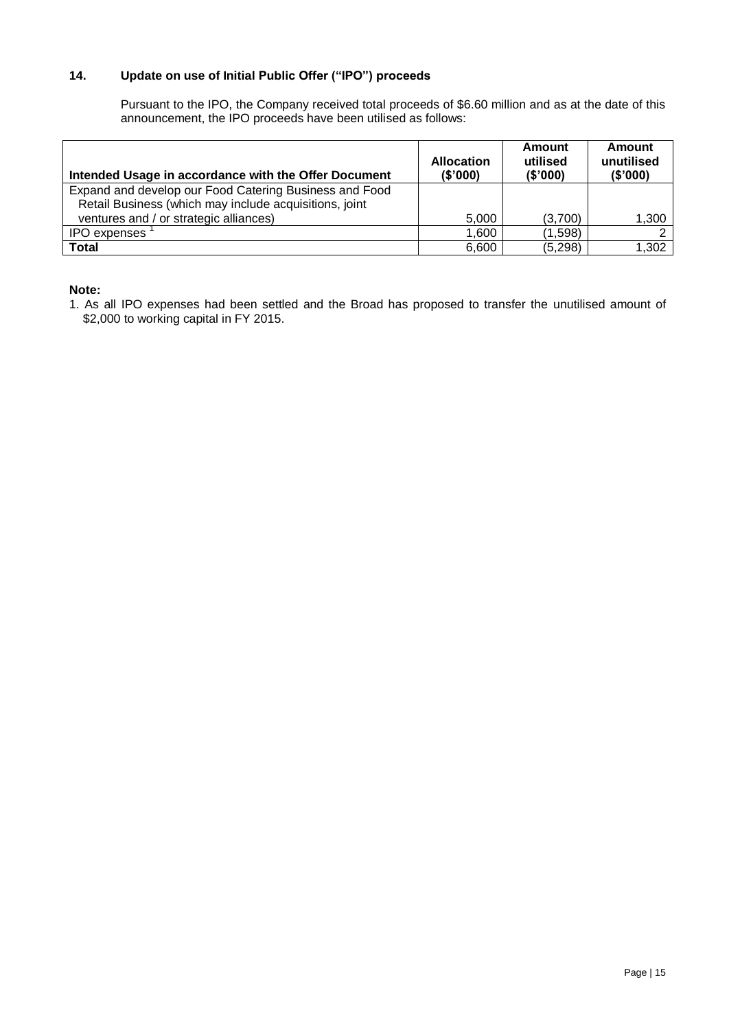## **14. Update on use of Initial Public Offer ("IPO") proceeds**

Pursuant to the IPO, the Company received total proceeds of \$6.60 million and as at the date of this announcement, the IPO proceeds have been utilised as follows:

| Intended Usage in accordance with the Offer Document   | <b>Allocation</b><br>(\$'000) | Amount<br>utilised<br>(\$'000) | Amount<br>unutilised<br>(\$'000) |
|--------------------------------------------------------|-------------------------------|--------------------------------|----------------------------------|
| Expand and develop our Food Catering Business and Food |                               |                                |                                  |
| Retail Business (which may include acquisitions, joint |                               |                                |                                  |
| ventures and / or strategic alliances)                 | 5.000                         | (3,700)                        | 1,300                            |
| <b>IPO</b> expenses                                    | 1,600                         | (1,598)                        |                                  |
| Total                                                  | 6.600                         | (5, 298)                       | 1,302                            |

## **Note:**

1. As all IPO expenses had been settled and the Broad has proposed to transfer the unutilised amount of \$2,000 to working capital in FY 2015.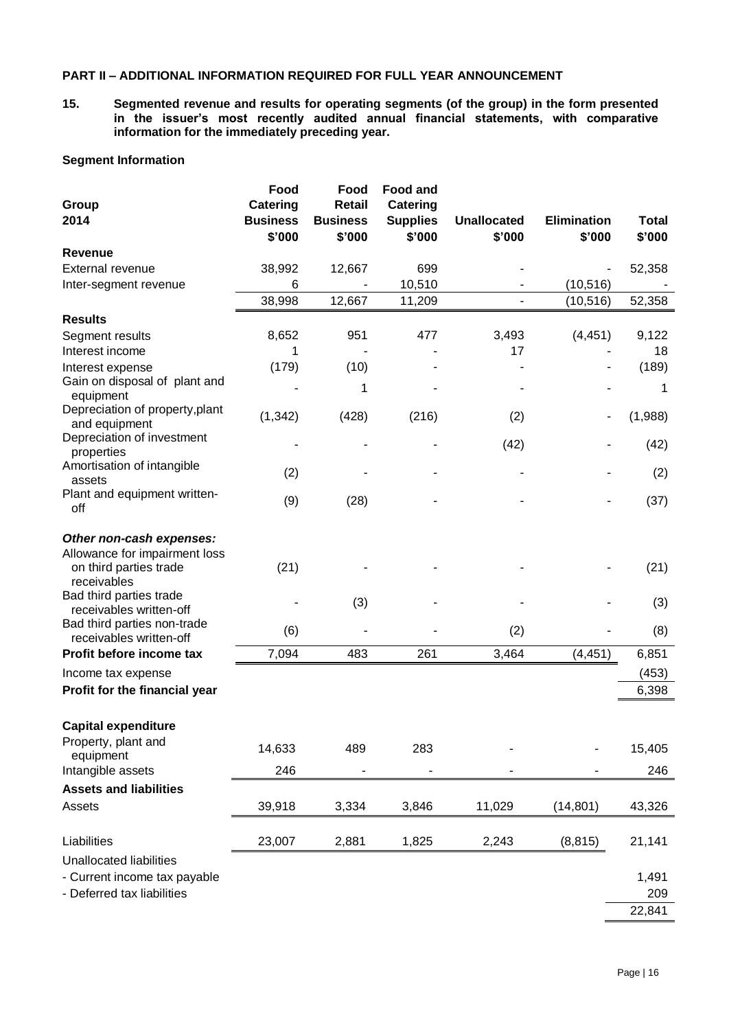## **PART II – ADDITIONAL INFORMATION REQUIRED FOR FULL YEAR ANNOUNCEMENT**

**15. Segmented revenue and results for operating segments (of the group) in the form presented in the issuer's most recently audited annual financial statements, with comparative information for the immediately preceding year.** 

## **Segment Information**

| Group<br>2014                                                                                      | Food<br><b>Catering</b><br><b>Business</b><br>\$'000 | Food<br>Retail<br><b>Business</b><br>\$'000 | <b>Food and</b><br><b>Catering</b><br><b>Supplies</b><br>\$'000 | <b>Unallocated</b><br>\$'000 | Elimination<br>\$'000 | <b>Total</b><br>\$'000 |
|----------------------------------------------------------------------------------------------------|------------------------------------------------------|---------------------------------------------|-----------------------------------------------------------------|------------------------------|-----------------------|------------------------|
| <b>Revenue</b>                                                                                     |                                                      |                                             |                                                                 |                              |                       |                        |
| External revenue                                                                                   | 38,992                                               | 12,667                                      | 699                                                             |                              |                       | 52,358                 |
| Inter-segment revenue                                                                              | 6                                                    |                                             | 10,510                                                          |                              | (10, 516)             |                        |
|                                                                                                    | 38,998                                               | 12,667                                      | 11,209                                                          |                              | (10, 516)             | 52,358                 |
| <b>Results</b>                                                                                     |                                                      |                                             |                                                                 |                              |                       |                        |
| Segment results                                                                                    | 8,652                                                | 951                                         | 477                                                             | 3,493                        | (4, 451)              | 9,122                  |
| Interest income                                                                                    | 1                                                    |                                             |                                                                 | 17                           |                       | 18                     |
| Interest expense                                                                                   | (179)                                                | (10)                                        |                                                                 |                              |                       | (189)                  |
| Gain on disposal of plant and<br>equipment                                                         |                                                      | 1                                           |                                                                 |                              |                       | 1                      |
| Depreciation of property, plant<br>and equipment                                                   | (1, 342)                                             | (428)                                       | (216)                                                           | (2)                          |                       | (1,988)                |
| Depreciation of investment<br>properties                                                           |                                                      |                                             |                                                                 | (42)                         |                       | (42)                   |
| Amortisation of intangible<br>assets                                                               | (2)                                                  |                                             |                                                                 |                              |                       | (2)                    |
| Plant and equipment written-<br>off                                                                | (9)                                                  | (28)                                        |                                                                 |                              |                       | (37)                   |
| Other non-cash expenses:<br>Allowance for impairment loss<br>on third parties trade<br>receivables | (21)                                                 |                                             |                                                                 |                              |                       | (21)                   |
| Bad third parties trade<br>receivables written-off                                                 |                                                      | (3)                                         |                                                                 |                              |                       | (3)                    |
| Bad third parties non-trade<br>receivables written-off                                             | (6)                                                  |                                             |                                                                 | (2)                          |                       | (8)                    |
| Profit before income tax                                                                           | 7,094                                                | 483                                         | 261                                                             | 3,464                        | (4, 451)              | 6,851                  |
| Income tax expense                                                                                 |                                                      |                                             |                                                                 |                              |                       | (453)                  |
| Profit for the financial year                                                                      |                                                      |                                             |                                                                 |                              |                       | 6,398                  |
| <b>Capital expenditure</b>                                                                         |                                                      |                                             |                                                                 |                              |                       |                        |
| Property, plant and<br>equipment                                                                   | 14,633                                               | 489                                         | 283                                                             |                              |                       | 15,405                 |
| Intangible assets                                                                                  | 246                                                  |                                             |                                                                 |                              |                       | 246                    |
| <b>Assets and liabilities</b>                                                                      |                                                      |                                             |                                                                 |                              |                       |                        |
| Assets                                                                                             | 39,918                                               | 3,334                                       | 3,846                                                           | 11,029                       | (14, 801)             | 43,326                 |
| Liabilities                                                                                        | 23,007                                               | 2,881                                       | 1,825                                                           | 2,243                        | (8, 815)              | 21,141                 |
| <b>Unallocated liabilities</b>                                                                     |                                                      |                                             |                                                                 |                              |                       |                        |
| - Current income tax payable                                                                       |                                                      |                                             |                                                                 |                              |                       | 1,491                  |
| - Deferred tax liabilities                                                                         |                                                      |                                             |                                                                 |                              |                       | 209                    |
|                                                                                                    |                                                      |                                             |                                                                 |                              |                       | 22,841                 |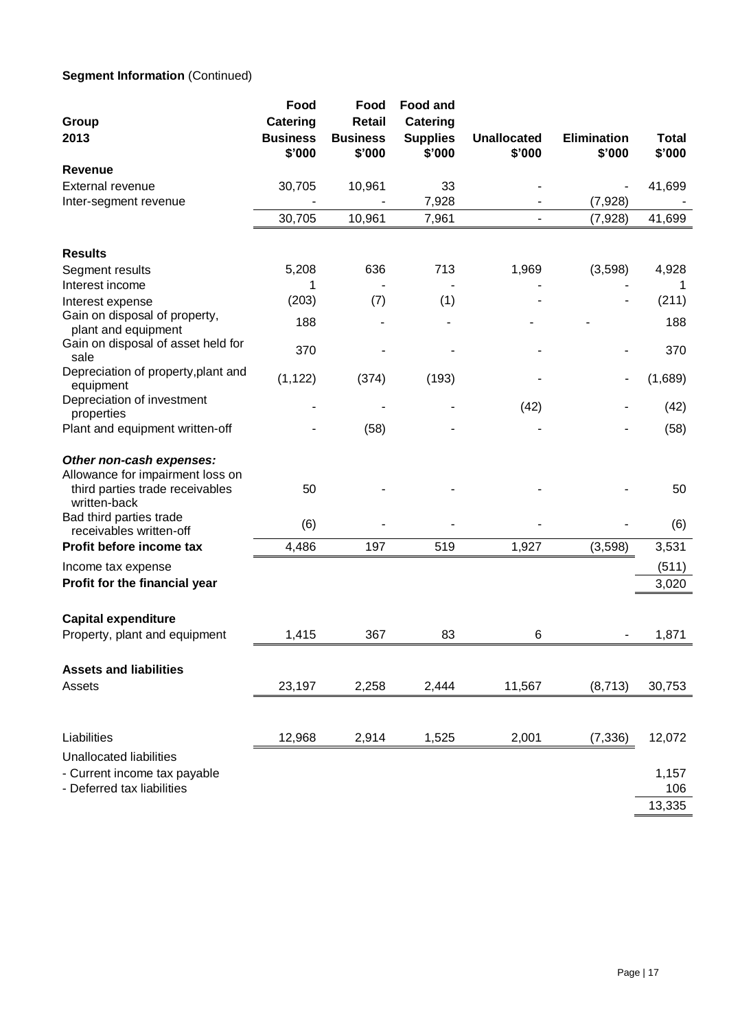## **Segment Information (Continued)**

| Group<br>2013                                                                                                                                                         | Food<br><b>Catering</b><br><b>Business</b><br>\$'000 | Food<br><b>Retail</b><br><b>Business</b><br>\$'000 | <b>Food and</b><br>Catering<br><b>Supplies</b><br>\$'000 | <b>Unallocated</b><br>\$'000 | <b>Elimination</b><br>\$'000 | <b>Total</b><br>\$'000 |
|-----------------------------------------------------------------------------------------------------------------------------------------------------------------------|------------------------------------------------------|----------------------------------------------------|----------------------------------------------------------|------------------------------|------------------------------|------------------------|
| <b>Revenue</b>                                                                                                                                                        |                                                      |                                                    |                                                          |                              |                              |                        |
| External revenue                                                                                                                                                      | 30,705                                               | 10,961                                             | 33                                                       |                              |                              | 41,699                 |
| Inter-segment revenue                                                                                                                                                 |                                                      |                                                    | 7,928                                                    |                              | (7,928)                      |                        |
|                                                                                                                                                                       | 30,705                                               | 10,961                                             | 7,961                                                    |                              | (7,928)                      | 41,699                 |
| <b>Results</b>                                                                                                                                                        |                                                      |                                                    |                                                          |                              |                              |                        |
| Segment results                                                                                                                                                       | 5,208                                                | 636                                                | 713                                                      | 1,969                        | (3,598)                      | 4,928                  |
| Interest income                                                                                                                                                       |                                                      |                                                    |                                                          |                              |                              |                        |
| Interest expense                                                                                                                                                      | (203)                                                | (7)                                                | (1)                                                      |                              |                              | (211)                  |
| Gain on disposal of property,<br>plant and equipment                                                                                                                  | 188                                                  |                                                    |                                                          |                              |                              | 188                    |
| Gain on disposal of asset held for<br>sale                                                                                                                            | 370                                                  |                                                    |                                                          |                              |                              | 370                    |
| Depreciation of property, plant and<br>equipment                                                                                                                      | (1, 122)                                             | (374)                                              | (193)                                                    |                              |                              | (1,689)                |
| Depreciation of investment<br>properties                                                                                                                              |                                                      |                                                    |                                                          | (42)                         |                              | (42)                   |
| Plant and equipment written-off                                                                                                                                       |                                                      | (58)                                               |                                                          |                              |                              | (58)                   |
| Other non-cash expenses:<br>Allowance for impairment loss on<br>third parties trade receivables<br>written-back<br>Bad third parties trade<br>receivables written-off | 50<br>(6)                                            |                                                    |                                                          |                              |                              | 50<br>(6)              |
| Profit before income tax                                                                                                                                              | 4,486                                                | 197                                                | 519                                                      | 1,927                        | (3,598)                      | 3,531                  |
| Income tax expense                                                                                                                                                    |                                                      |                                                    |                                                          |                              |                              | (511)                  |
| Profit for the financial year                                                                                                                                         |                                                      |                                                    |                                                          |                              |                              | 3,020                  |
| <b>Capital expenditure</b><br>Property, plant and equipment                                                                                                           | 1,415                                                | 367                                                | 83                                                       | 6                            |                              | 1,871                  |
|                                                                                                                                                                       |                                                      |                                                    |                                                          |                              |                              |                        |
| <b>Assets and liabilities</b><br>Assets                                                                                                                               | 23,197                                               | 2,258                                              | 2,444                                                    | 11,567                       | (8,713)                      | 30,753                 |
|                                                                                                                                                                       |                                                      |                                                    |                                                          |                              |                              |                        |
| Liabilities                                                                                                                                                           | 12,968                                               | 2,914                                              | 1,525                                                    | 2,001                        | (7, 336)                     | 12,072                 |
| Unallocated liabilities<br>- Current income tax payable<br>- Deferred tax liabilities                                                                                 |                                                      |                                                    |                                                          |                              |                              | 1,157<br>106           |
|                                                                                                                                                                       |                                                      |                                                    |                                                          |                              |                              | 13,335                 |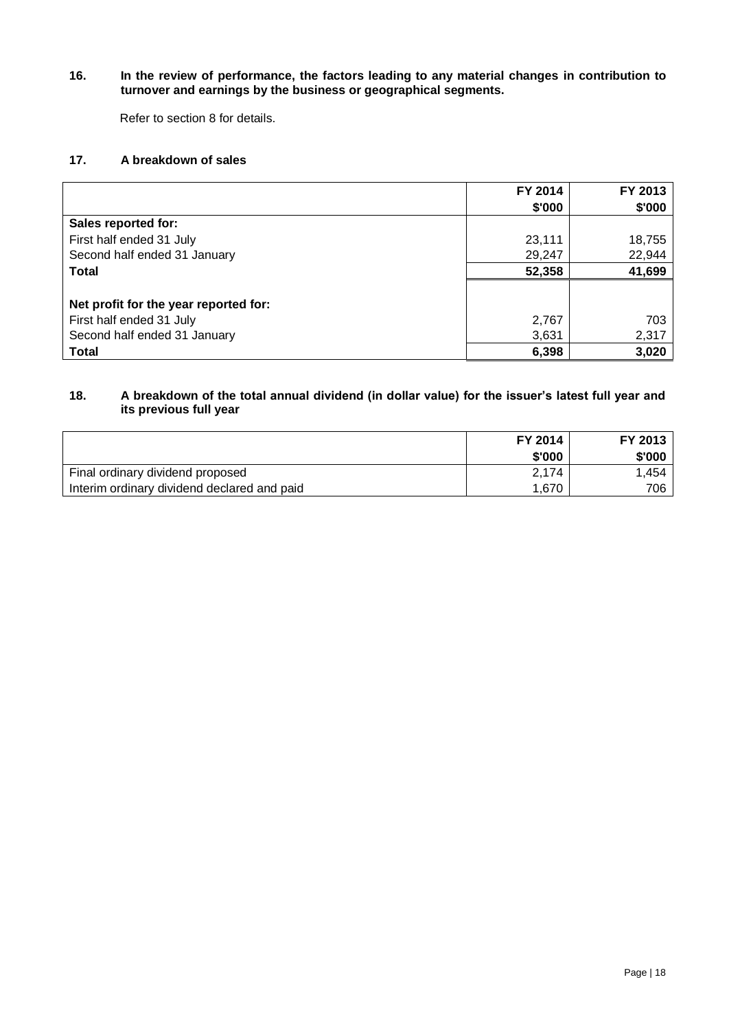#### **16. In the review of performance, the factors leading to any material changes in contribution to turnover and earnings by the business or geographical segments.**

Refer to section 8 for details.

## **17. A breakdown of sales**

|                                       | FY 2014 | FY 2013 |
|---------------------------------------|---------|---------|
|                                       | \$'000  | \$'000  |
| Sales reported for:                   |         |         |
| First half ended 31 July              | 23,111  | 18,755  |
| Second half ended 31 January          | 29,247  | 22,944  |
| <b>Total</b>                          | 52,358  | 41,699  |
|                                       |         |         |
| Net profit for the year reported for: |         |         |
| First half ended 31 July              | 2,767   | 703     |
| Second half ended 31 January          | 3,631   | 2,317   |
| <b>Total</b>                          | 6,398   | 3,020   |

## **18. A breakdown of the total annual dividend (in dollar value) for the issuer's latest full year and its previous full year**

|                                             | FY 2014<br>\$'000 | FY 2013<br>\$'000 |
|---------------------------------------------|-------------------|-------------------|
| Final ordinary dividend proposed            | 2.174             | .454              |
| Interim ordinary dividend declared and paid | 1.670             | 706               |